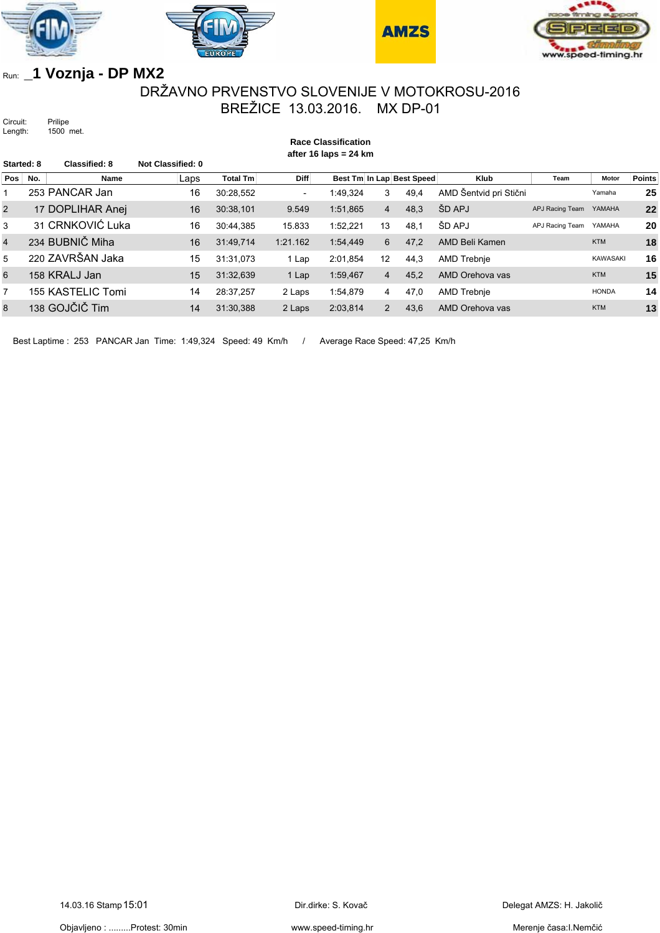







## Run: **\_1 Voznja - DP MX2**

## DRŽAVNO PRVENSTVO SLOVENIJE V MOTOKROSU-2016 BREŽICE 13.03.2016. MX DP-01

**Race Classification**

Circuit: Prilipe Length: 1500 met.

**after 16 laps = 24 km Started: 8 Classified: 8 Not Classified: 0 Pos No. Solution Name Caps Total Tm Diff Best Tm In Lap Best Speed Klub Team Motor Points** 1 253 PANCAR Jan 16 30:28,552 - 1:49,324 3 49,4 AMD Šentvid pri Stični Yamaha **25** 2 17 DOPLIHAR Anej 16 30:38,101 9.549 1:51,865 4 48,3 ŠD APJ APJ Racing Team YAMAHA 22 3 31 CRNKOVIĆ Luka 16 30:44,385 15.833 1:52,221 13 48,1 ŠD APJ APJ Racing Team YAMAHA **20** 4 234 BUBNIČ Miha 16 31:49,714 1:21.162 1:54,449 6 47,2 AMD Beli Kamen KTM **18** 5 220 ZAVRŠAN Jaka 15 31:31,073 1 Lap 2:01,854 12 44,3 AMD Trebnje KAWASAKI **16** 6 158 KRALJ Jan 15 31:32,639 1 Lap 1:59,467 4 45,2 AMD Orehova vas KTM 15 7 155 KASTELIC Tomi 14 28:37,257 2 Laps 1:54,879 4 47,0 AMD Trebnje HONDA **14** 8 138 GOJČIČ Tim 14 31:30,388 2 Laps 2:03,814 2 43,6 AMD Orehova vas KTM 13

Best Laptime : 253 PANCAR Jan Time: 1:49,324 Speed: 49 Km/h / Average Race Speed: 47,25 Km/h